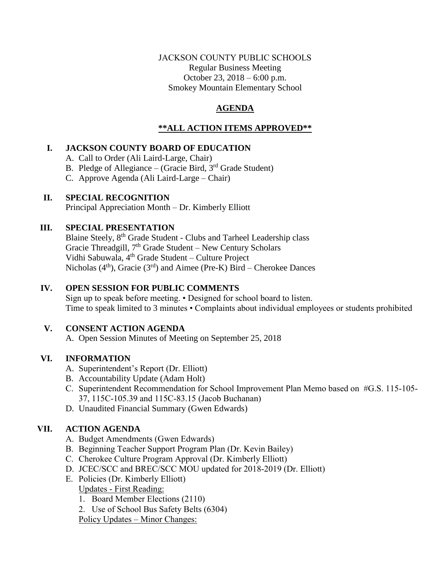### JACKSON COUNTY PUBLIC SCHOOLS Regular Business Meeting October 23, 2018 – 6:00 p.m. Smokey Mountain Elementary School

## **AGENDA**

## **\*\*ALL ACTION ITEMS APPROVED\*\***

## **I. JACKSON COUNTY BOARD OF EDUCATION**

A. Call to Order (Ali Laird-Large, Chair)

- B. Pledge of Allegiance (Gracie Bird, 3<sup>rd</sup> Grade Student)
- C. Approve Agenda (Ali Laird-Large Chair)

### **II. SPECIAL RECOGNITION**

Principal Appreciation Month – Dr. Kimberly Elliott

## **III. SPECIAL PRESENTATION**

Blaine Steely, 8<sup>th</sup> Grade Student - Clubs and Tarheel Leadership class Gracie Threadgill, 7<sup>th</sup> Grade Student - New Century Scholars Vidhi Sabuwala, 4<sup>th</sup> Grade Student - Culture Project Nicholas  $(4<sup>th</sup>)$ , Gracie  $(3<sup>rd</sup>)$  and Aimee (Pre-K) Bird – Cherokee Dances

## **IV. OPEN SESSION FOR PUBLIC COMMENTS**

Sign up to speak before meeting. • Designed for school board to listen. Time to speak limited to 3 minutes • Complaints about individual employees or students prohibited

## **V. CONSENT ACTION AGENDA**

A. Open Session Minutes of Meeting on September 25, 2018

## **VI. INFORMATION**

- A. Superintendent's Report (Dr. Elliott)
- B. Accountability Update (Adam Holt)
- C. Superintendent Recommendation for School Improvement Plan Memo based on #G.S. 115-105- 37, 115C-105.39 and 115C-83.15 (Jacob Buchanan)
- D. Unaudited Financial Summary (Gwen Edwards)

## **VII. ACTION AGENDA**

- A. Budget Amendments (Gwen Edwards)
- B. Beginning Teacher Support Program Plan (Dr. Kevin Bailey)
- C. Cherokee Culture Program Approval (Dr. Kimberly Elliott)
- D. JCEC/SCC and BREC/SCC MOU updated for 2018-2019 (Dr. Elliott)
- E. Policies (Dr. Kimberly Elliott)
- Updates First Reading:
	- 1. Board Member Elections (2110)
	- 2. Use of School Bus Safety Belts (6304)

Policy Updates – Minor Changes: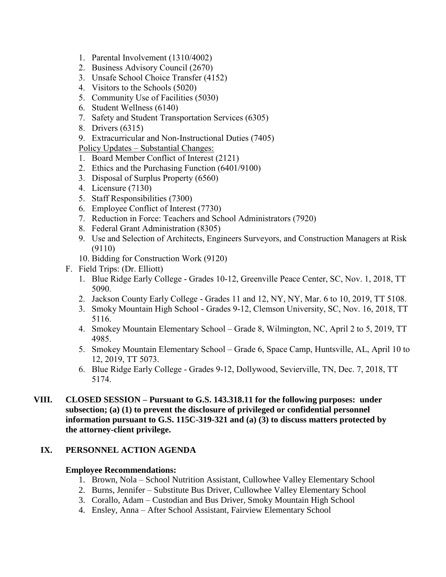- 1. Parental Involvement (1310/4002)
- 2. Business Advisory Council (2670)
- 3. Unsafe School Choice Transfer (4152)
- 4. Visitors to the Schools (5020)
- 5. Community Use of Facilities (5030)
- 6. Student Wellness (6140)
- 7. Safety and Student Transportation Services (6305)
- 8. Drivers (6315)
- 9. Extracurricular and Non-Instructional Duties (7405)

Policy Updates – Substantial Changes:

- 1. Board Member Conflict of Interest (2121)
- 2. Ethics and the Purchasing Function (6401/9100)
- 3. Disposal of Surplus Property (6560)
- 4. Licensure (7130)
- 5. Staff Responsibilities (7300)
- 6. Employee Conflict of Interest (7730)
- 7. Reduction in Force: Teachers and School Administrators (7920)
- 8. Federal Grant Administration (8305)
- 9. Use and Selection of Architects, Engineers Surveyors, and Construction Managers at Risk (9110)
- 10. Bidding for Construction Work (9120)
- F. Field Trips: (Dr. Elliott)
	- 1. Blue Ridge Early College Grades 10-12, Greenville Peace Center, SC, Nov. 1, 2018, TT 5090.
	- 2. Jackson County Early College Grades 11 and 12, NY, NY, Mar. 6 to 10, 2019, TT 5108.
	- 3. Smoky Mountain High School Grades 9-12, Clemson University, SC, Nov. 16, 2018, TT 5116.
	- 4. Smokey Mountain Elementary School Grade 8, Wilmington, NC, April 2 to 5, 2019, TT 4985.
	- 5. Smokey Mountain Elementary School Grade 6, Space Camp, Huntsville, AL, April 10 to 12, 2019, TT 5073.
	- 6. Blue Ridge Early College Grades 9-12, Dollywood, Sevierville, TN, Dec. 7, 2018, TT 5174.
- **VIII. CLOSED SESSION – Pursuant to G.S. 143.318.11 for the following purposes: under subsection; (a) (1) to prevent the disclosure of privileged or confidential personnel information pursuant to G.S. 115C-319-321 and (a) (3) to discuss matters protected by the attorney-client privilege.**

### **IX. PERSONNEL ACTION AGENDA**

#### **Employee Recommendations:**

- 1. Brown, Nola School Nutrition Assistant, Cullowhee Valley Elementary School
- 2. Burns, Jennifer Substitute Bus Driver, Cullowhee Valley Elementary School
- 3. Corallo, Adam Custodian and Bus Driver, Smoky Mountain High School
- 4. Ensley, Anna After School Assistant, Fairview Elementary School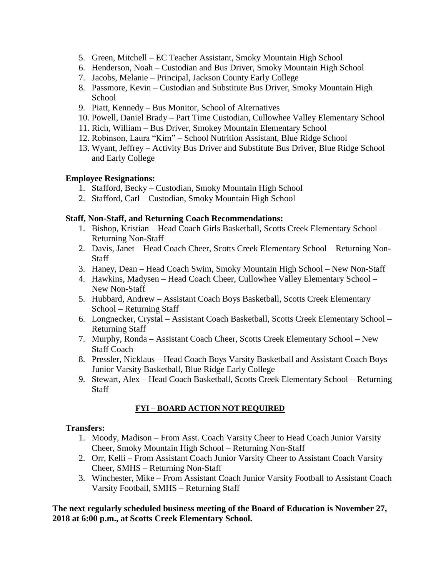- 5. Green, Mitchell EC Teacher Assistant, Smoky Mountain High School
- 6. Henderson, Noah Custodian and Bus Driver, Smoky Mountain High School
- 7. Jacobs, Melanie Principal, Jackson County Early College
- 8. Passmore, Kevin Custodian and Substitute Bus Driver, Smoky Mountain High **School**
- 9. Piatt, Kennedy Bus Monitor, School of Alternatives
- 10. Powell, Daniel Brady Part Time Custodian, Cullowhee Valley Elementary School
- 11. Rich, William Bus Driver, Smokey Mountain Elementary School
- 12. Robinson, Laura "Kim" School Nutrition Assistant, Blue Ridge School
- 13. Wyant, Jeffrey Activity Bus Driver and Substitute Bus Driver, Blue Ridge School and Early College

## **Employee Resignations:**

- 1. Stafford, Becky Custodian, Smoky Mountain High School
- 2. Stafford, Carl Custodian, Smoky Mountain High School

### **Staff, Non-Staff, and Returning Coach Recommendations:**

- 1. Bishop, Kristian Head Coach Girls Basketball, Scotts Creek Elementary School Returning Non-Staff
- 2. Davis, Janet Head Coach Cheer, Scotts Creek Elementary School Returning Non-**Staff**
- 3. Haney, Dean Head Coach Swim, Smoky Mountain High School New Non-Staff
- 4. Hawkins, Madysen Head Coach Cheer, Cullowhee Valley Elementary School New Non-Staff
- 5. Hubbard, Andrew Assistant Coach Boys Basketball, Scotts Creek Elementary School – Returning Staff
- 6. Longnecker, Crystal Assistant Coach Basketball, Scotts Creek Elementary School Returning Staff
- 7. Murphy, Ronda Assistant Coach Cheer, Scotts Creek Elementary School New Staff Coach
- 8. Pressler, Nicklaus Head Coach Boys Varsity Basketball and Assistant Coach Boys Junior Varsity Basketball, Blue Ridge Early College
- 9. Stewart, Alex Head Coach Basketball, Scotts Creek Elementary School Returning **Staff**

## **FYI – BOARD ACTION NOT REQUIRED**

### **Transfers:**

- 1. Moody, Madison From Asst. Coach Varsity Cheer to Head Coach Junior Varsity Cheer, Smoky Mountain High School – Returning Non-Staff
- 2. Orr, Kelli From Assistant Coach Junior Varsity Cheer to Assistant Coach Varsity Cheer, SMHS – Returning Non-Staff
- 3. Winchester, Mike From Assistant Coach Junior Varsity Football to Assistant Coach Varsity Football, SMHS – Returning Staff

### **The next regularly scheduled business meeting of the Board of Education is November 27, 2018 at 6:00 p.m., at Scotts Creek Elementary School.**